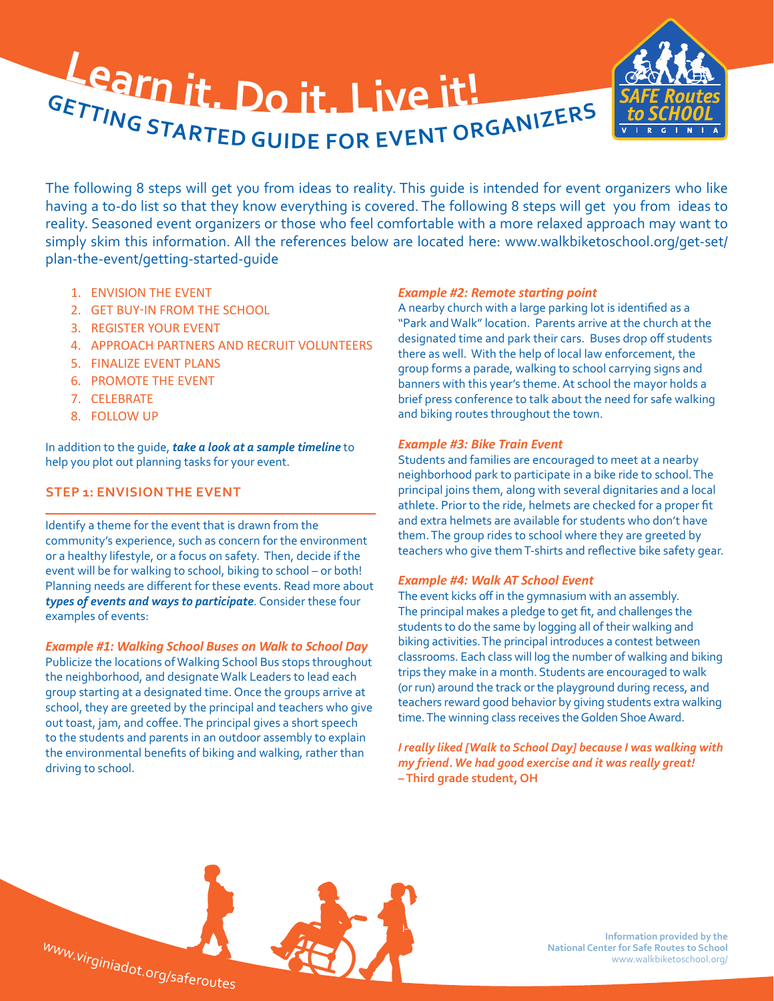

The following 8 steps will get you from ideas to reality. This guide is intended for event organizers who like having a to-do list so that they know everything is covered. The following 8 steps will get you from ideas to reality. Seasoned event organizers or those who feel comfortable with a more relaxed approach may want to simply skim this information. All the references below are located here: www.walkbiketoschool.org/get-set/ plan-the-event/getting-started-guide

- 1. ENVISION THE EVENT
- 2. GET BUY-IN FROM THE SCHOOL
- 3. REGISTER YOUR EVENT
- 4. APPROACH PARTNERS AND RECRUIT VOLUNTEERS
- 5. FINALIZE EVENT PLANS
- 6. PROMOTE THE EVENT
- 7. CELEBRATE
- 8. FOLLOW UP

driving to school.

In addition to the guide, *[take a look at a sample timeline](http://www.walkbiketoschool.org/node/145)* to help you plot out planning tasks for your event.

## **STEP 1: ENVISION THE EVENT**

Identify a theme for the event that is drawn from the community's experience, such as concern for the environment or a healthy lifestyle, or a focus on safety. Then, decide if the event will be for walking to school, biking to school – or both! Planning needs are different for these events. Read more about *[types of events and ways to participate](http://www.walkbiketoschool.org/ready/about-our-work/ways-to-participate)*. Consider these four examples of events:

*Example #1: Walking School Buses on Walk to School Day* Publicize the locations of Walking School Bus stops throughout the neighborhood, and designate Walk Leaders to lead each group starting at a designated time. Once the groups arrive at school, they are greeted by the principal and teachers who give out toast, jam, and coffee. The principal gives a short speech to the students and parents in an outdoor assembly to explain the environmental benefits of biking and walking, rather than

#### *Example #2: Remote starting point*

A nearby church with a large parking lot is identified as a "Park and Walk" location. Parents arrive at the church at the designated time and park their cars. Buses drop off students there as well. With the help of local law enforcement, the group forms a parade, walking to school carrying signs and banners with this year's theme. At school the mayor holds a brief press conference to talk about the need for safe walking and biking routes throughout the town.

#### *Example #3: Bike Train Event*

Students and families are encouraged to meet at a nearby neighborhood park to participate in a bike ride to school. The principal joins them, along with several dignitaries and a local athlete. Prior to the ride, helmets are checked for a proper fit and extra helmets are available for students who don't have them. The group rides to school where they are greeted by teachers who give them T-shirts and reflective bike safety gear.

#### *Example #4: Walk AT School Event*

The event kicks off in the gymnasium with an assembly. The principal makes a pledge to get fit, and challenges the students to do the same by logging all of their walking and biking activities. The principal introduces a contest between classrooms. Each class will log the number of walking and biking trips they make in a month. Students are encouraged to walk (or run) around the track or the playground during recess, and teachers reward good behavior by giving students extra walking time. The winning class receives the Golden Shoe Award.

*I really liked [Walk to School Day] because I was walking with my friend. We had good exercise and it was really great!* **– Third grade student, OH**



**Information provided by the National Center for Safe Routes to School**  www.walkbiketoschool.org/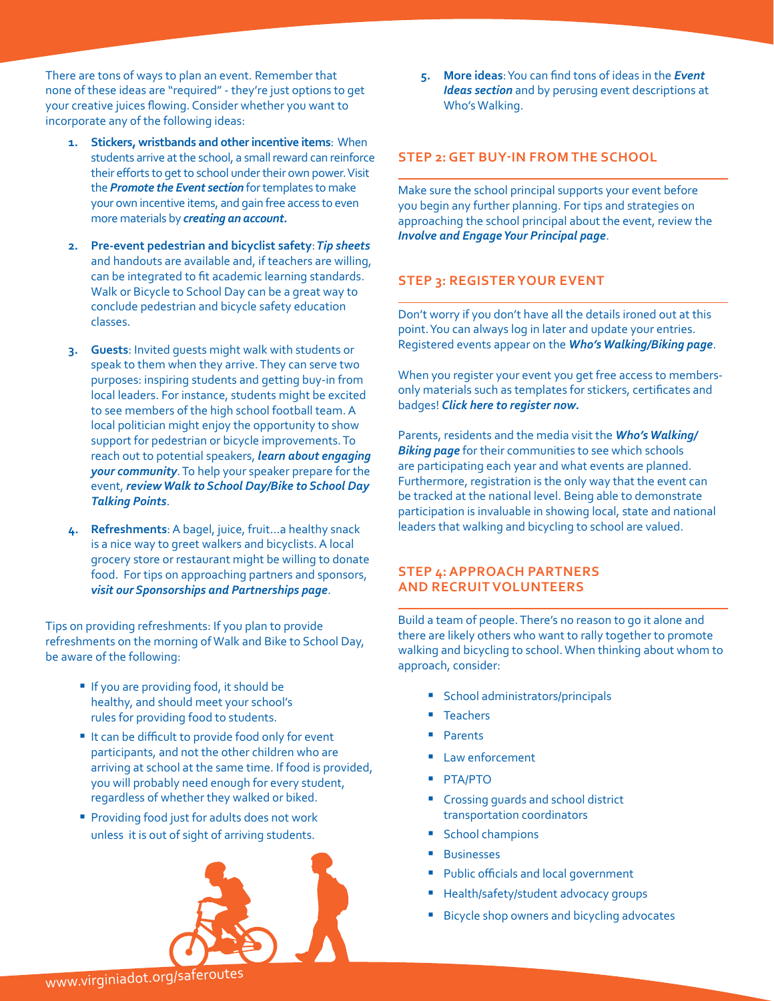There are tons of ways to plan an event. Remember that none of these ideas are "required" - they're just options to get your creative juices flowing. Consider whether you want to incorporate any of the following ideas:

- **1. Stickers, wristbands and other incentive items**: When students arrive at the school, a small reward can reinforce their efforts to get to school under their own power. Visit the *[Promote the Event section](http://www.walkbiketoschool.org/get-set/promote-the-event)* for templates to make your own incentive items, and gain free access to even more materials by *[creating an account.](http://www.walkbiketoschool.org/node/add/event)*
- **2. Pre-event pedestrian and bicyclist safety**:*[Tip sheets](http://www.walkbiketoschool.org/get-set/event-ideas/classroom-activities-and-handouts)* [and handouts](http://www.walkbiketoschool.org/get-set/event-ideas/classroom-activities-and-handouts) are available and, if teachers are willing, can be integrated to fit academic learning standards. Walk or Bicycle to School Day can be a great way to conclude pedestrian and bicycle safety education classes.
- **3. Guests**: Invited guests might walk with students or speak to them when they arrive. They can serve two purposes: inspiring students and getting buy-in from local leaders. For instance, students might be excited to see members of the high school football team. A local politician might enjoy the opportunity to show support for pedestrian or bicycle improvements. To reach out to potential speakers, *[learn about engaging](http://www.walkbiketoschool.org/get-set/involve-the-community)  [your community](http://www.walkbiketoschool.org/get-set/involve-the-community)*. To help your speaker prepare for the event, *[review Walk to School Day/Bike to School Day](http://www.walkbiketoschool.org/get-set/promote-the-event/talking-points)  [Talking Points](http://www.walkbiketoschool.org/get-set/promote-the-event/talking-points)*.
- **4. Refreshments**: A bagel, juice, fruit…a healthy snack is a nice way to greet walkers and bicyclists. A local grocery store or restaurant might be willing to donate food. For tips on approaching partners and sponsors, *[visit our Sponsorships and Partnerships page](http://www.walkbiketoschool.org/get-set/involve-the-community/partners-and-sponsors)*.

Tips on providing refreshments: If you plan to provide refreshments on the morning of Walk and Bike to School Day, be aware of the following:

- If you are providing food, it should be healthy, and should meet your school's rules for providing food to students.
- It can be difficult to provide food only for event participants, and not the other children who are arriving at school at the same time. If food is provided, you will probably need enough for every student, regardless of whether they walked or biked.
- **Providing food just for adults does not work** unless it is out of sight of arriving students.



**5. More ideas**: You can find tons of ideas in the *[Event](http://www.walkbiketoschool.org/get-set/event-ideas/50-event-ideas)  [Ideas section](http://www.walkbiketoschool.org/get-set/event-ideas/50-event-ideas)* and by perusing event descriptions at [Who's Walking.](http://www.walkbiketoschool.org/go/whos-biking-2012)

#### **STEP 2: GET BUY-IN FROM THE SCHOOL**

Make sure the school principal supports your event before you begin any further planning. For tips and strategies on approaching the school principal about the event, review the *[Involve and Engage Your Principal page](http://www.walkbiketoschool.org/get-set/involve-the-community/school-principal)*.

## **STEP 3: REGISTER YOUR EVENT**

Don't worry if you don't have all the details ironed out at this point. You can always log in later and update your entries. Registered events appear on the *[Who's Walking/Biking page](http://www.walkbiketoschool.org/go/whos-biking/2012)*.

When you register your event you get free access to membersonly materials such as templates for stickers, certificates and badges! *[Click here to register now](http://www.walkbiketoschool.org/node/add/event).*

Parents, residents and the media visit the *[Who's Walking/](http://www.walkbiketoschool.org/go/whos-biking/2012) [Biking page](http://www.walkbiketoschool.org/go/whos-biking/2012)* for their communities to see which schools are participating each year and what events are planned. Furthermore, registration is the only way that the event can be tracked at the national level. Being able to demonstrate participation is invaluable in showing local, state and national leaders that walking and bicycling to school are valued.

#### **STEP 4: APPROACH PARTNERS AND RECRUIT VOLUNTEERS**

Build a team of people. There's no reason to go it alone and there are likely others who want to rally together to promote walking and bicycling to school. When thinking about whom to approach, consider:

- **School administrators/principals**
- **Teachers**
- **Parents**
- Law enforcement
- PTA/PTO
- � Crossing guards and school district transportation coordinators
- School champions
- **Businesses**
- Public officials and local government
- Health/safety/student advocacy groups
- **Bicycle shop owners and bicycling advocates**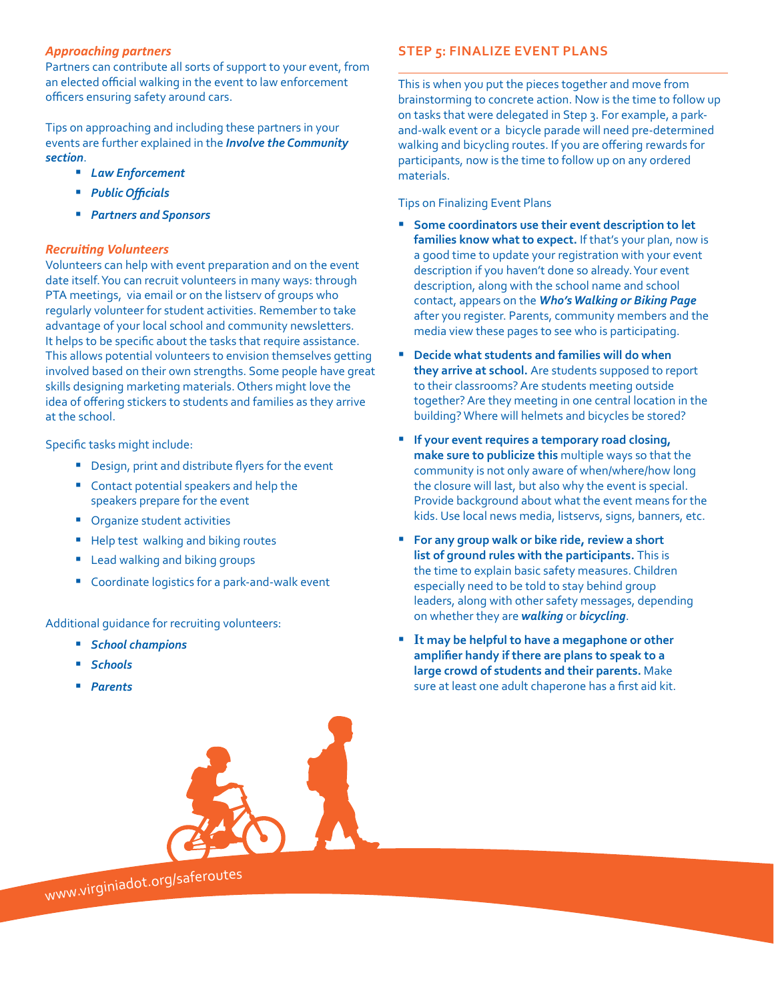#### *Approaching partners*

Partners can contribute all sorts of support to your event, from an elected official walking in the event to law enforcement officers ensuring safety around cars.

Tips on approaching and including these partners in your events are further explained in the *[Involve the Community](http://www.walkbiketoschool.org/get-set/involve-the-community)  [section](http://www.walkbiketoschool.org/get-set/involve-the-community)*.

- � *[Law Enforcement](http://www.walkbiketoschool.org/get-set/involve-the-community/law-enforcement)*
- � *[Public Officials](http://www.walkbiketoschool.org/get-set/involve-the-community/public-officials)*
- � *[Partners and Sponsors](http://www.walkbiketoschool.org/get-set/involve-the-community/partners-and-sponsors)*

## *Recruiting Volunteers*

Volunteers can help with event preparation and on the event date itself. You can recruit volunteers in many ways: through PTA meetings, via email or on the listserv of groups who regularly volunteer for student activities. Remember to take advantage of your local school and community newsletters. It helps to be specific about the tasks that require assistance. This allows potential volunteers to envision themselves getting involved based on their own strengths. Some people have great skills designing marketing materials. Others might love the idea of offering stickers to students and families as they arrive at the school.

Specific tasks might include:

- Design, print and distribute flyers for the event
- Contact potential speakers and help the speakers prepare for the event
- **•** Organize student activities
- Help test walking and biking routes
- **E** Lead walking and biking groups
- Coordinate logistics for a park-and-walk event

Additional guidance for recruiting volunteers:

- � *[School champions](http://www.walkbiketoschool.org/get-set/involve-the-community/school-champions)*
- � *[Schools](http://www.walkbiketoschool.org/get-set/involve-the-community/school-principal)*
- � *[Parents](http://www.walkbiketoschool.org/get-set/involve-the-community/parents)*



<sup>w</sup>ww.virginiadot.o<sup>r</sup>g/s<sup>a</sup>feroute<sup>s</sup>

# **STEP 5: FINALIZE EVENT PLANS**

This is when you put the pieces together and move from brainstorming to concrete action. Now is the time to follow up on tasks that were delegated in Step 3. For example, a parkand-walk event or a bicycle parade will need pre-determined walking and bicycling routes. If you are offering rewards for participants, now is the time to follow up on any ordered materials.

Tips on Finalizing Event Plans

- � **Some coordinators use their event description to let families know what to expect.** If that's your plan, now is a good time to update your registration with your event description if you haven't done so already. Your event description, along with the school name and school contact, appears on the *[Who's Walking or Biking Page](http://www.walkbiketoschool.org/go/whos-biking/2012)* after you register. Parents, community members and the media view these pages to see who is participating.
- **Decide what students and families will do when they arrive at school.** Are students supposed to report to their classrooms? Are students meeting outside together? Are they meeting in one central location in the building? Where will helmets and bicycles be stored?
- � **If your event requires a temporary road closing, make sure to publicize this** multiple ways so that the community is not only aware of when/where/how long the closure will last, but also why the event is special. Provide background about what the event means for the kids. Use local news media, listservs, signs, banners, etc.
- � **For any group walk or bike ride, review a short list of ground rules with the participants.** This is the time to explain basic safety measures. Children especially need to be told to stay behind group leaders, along with other safety messages, depending on whether they are *[walking](http://www.walkbiketoschool.org/keep-going/pedestrian-safety)* or *[bicycling](http://www.walkbiketoschool.org/keep-going/bike-safety)*.
- � **It may be helpful to have a megaphone or other amplifier handy if there are plans to speak to a large crowd of students and their parents.** Make sure at least one adult chaperone has a first aid kit.